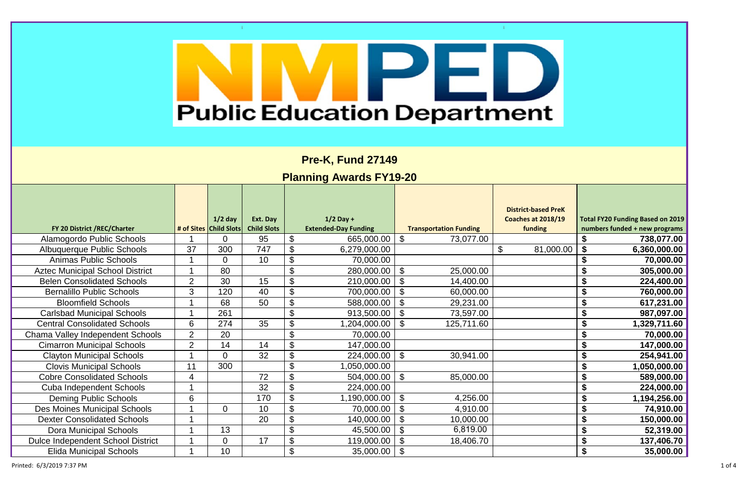| <b>PreK</b><br>18/19 | <b>Total FY20 Funding Based on 2019</b><br>numbers funded + new programs |
|----------------------|--------------------------------------------------------------------------|
|                      | \$<br>738,077.00                                                         |
| 00.00                | \$<br>6,360,000.00                                                       |
|                      | $\overline{\overline{\boldsymbol{\mathsf{s}}}}$<br>70,000.00             |
|                      | 全ますす<br>305,000.00                                                       |
|                      | 224,400.00                                                               |
|                      | 760,000.00                                                               |
|                      | 617,231.00                                                               |
|                      | 987,097.00                                                               |

|                                          |                |                          |                    |                |                             |                               | <b>District-based PreK</b>              |                                         |
|------------------------------------------|----------------|--------------------------|--------------------|----------------|-----------------------------|-------------------------------|-----------------------------------------|-----------------------------------------|
|                                          |                | $1/2$ day                | Ext. Day           |                | $1/2$ Day +                 |                               | Coaches at 2018/19                      | <b>Total FY20 Funding Based on 2019</b> |
| FY 20 District /REC/Charter              |                | # of Sites   Child Slots | <b>Child Slots</b> |                | <b>Extended-Day Funding</b> | <b>Transportation Funding</b> | funding                                 | numbers funded + new programs           |
| Alamogordo Public Schools                |                | 0                        | 95                 |                | 665,000.00                  | $\mathfrak{F}$<br>73,077.00   |                                         | 738,077.00                              |
| <b>Albuquerque Public Schools</b>        | 37             | 300                      | 747                |                | 6,279,000.00                |                               | $\boldsymbol{\mathcal{S}}$<br>81,000.00 | 6,360,000.00                            |
| <b>Animas Public Schools</b>             |                | $\overline{0}$           | 10                 |                | 70,000.00                   |                               |                                         | 70,000.00                               |
| <b>Aztec Municipal School District</b>   |                | 80                       |                    |                | 280,000.00                  | $\mathfrak{F}$<br>25,000.00   |                                         | 305,000.00                              |
| <b>Belen Consolidated Schools</b>        | 2              | 30                       | 15                 |                | 210,000.00                  | \$<br>14,400.00               |                                         | 224,400.00                              |
| <b>Bernalillo Public Schools</b>         | $\mathbf{3}$   | 120                      | 40                 |                | 700,000.00                  | \$<br>60,000.00               |                                         | 760,000.00                              |
| <b>Bloomfield Schools</b>                |                | 68                       | 50                 |                | 588,000.00                  | $\mathfrak{L}$<br>29,231.00   |                                         | 617,231.00                              |
| <b>Carlsbad Municipal Schools</b>        |                | 261                      |                    |                | 913,500.00                  | \$<br>73,597.00               |                                         | 987,097.00                              |
| <b>Central Consolidated Schools</b>      | 6              | 274                      | 35                 |                | ,204,000.00                 | $\mathcal{S}$<br>125,711.60   |                                         | 1,329,711.60                            |
| Chama Valley Independent Schools         | $\overline{2}$ | 20                       |                    |                | 70,000.00                   |                               |                                         | 70,000.00                               |
| <b>Cimarron Municipal Schools</b>        | $\overline{2}$ | 14                       | 14                 |                | 147,000.00                  |                               |                                         | 147,000.00                              |
| <b>Clayton Municipal Schools</b>         |                | $\Omega$                 | 32                 |                | 224,000.00                  | $\mathfrak{F}$<br>30,941.00   |                                         | 254,941.00                              |
| <b>Clovis Municipal Schools</b>          | 11             | 300                      |                    |                | ,050,000.00                 |                               |                                         | 1,050,000.00                            |
| <b>Cobre Consolidated Schools</b>        | 4              |                          | 72                 |                | 504,000.00                  | \$<br>85,000.00               |                                         | S<br>589,000.00                         |
| <b>Cuba Independent Schools</b>          |                |                          | 32                 |                | 224,000.00                  |                               |                                         | 224,000.00                              |
| <b>Deming Public Schools</b>             | 6              |                          | 170                |                | 1,190,000.00                | \$<br>4,256.00                |                                         | 1,194,256.00                            |
| <b>Des Moines Municipal Schools</b>      |                | $\Omega$                 | 10                 |                | 70,000.00                   | $\mathfrak{L}$<br>4,910.00    |                                         | 74,910.00                               |
| <b>Dexter Consolidated Schools</b>       |                |                          | 20                 |                | 140,000.00                  | $\mathcal{S}$<br>10,000.00    |                                         | 150,000.00                              |
| <b>Dora Municipal Schools</b>            |                | 13                       |                    |                | 45,500.00                   | 6,819.00<br>$\mathfrak{L}$    |                                         | 52,319.00                               |
| <b>Dulce Independent School District</b> |                | $\overline{0}$           | 17                 |                | 119,000.00                  | \$<br>18,406.70               |                                         | 137,406.70                              |
| <b>Elida Municipal Schools</b>           |                | 10                       |                    | $\mathfrak{L}$ | 35,000.00                   | \$                            |                                         | 35,000.00                               |

Printed: 6/3/2019 7:37 PM 1 of 4

# F. **Public Education Department**

**Pre-K, Fund 27149**

## **Planning Awards FY19-20**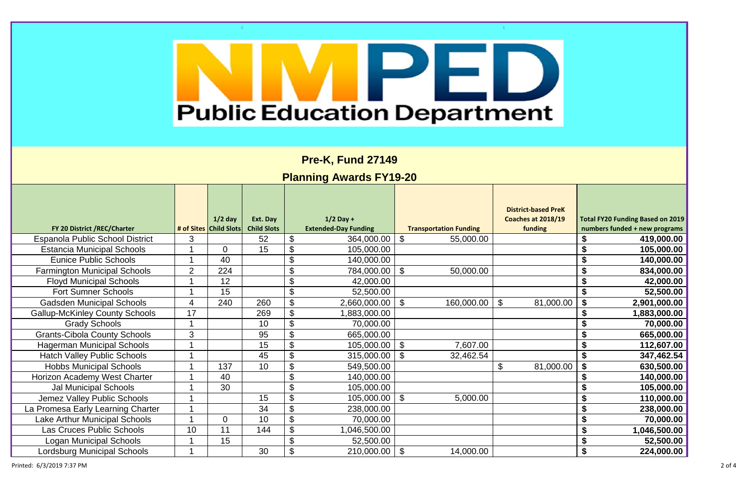Printed: 6/3/2019 7:37 PM 2 of 4

# l۳ **Public Education Department**

**Pre-K, Fund 27149**

## **Planning Awards FY19-20**

|                                       |                |                          |                    |                             |                           |                               | <b>District-based PreK</b>         |                                            |
|---------------------------------------|----------------|--------------------------|--------------------|-----------------------------|---------------------------|-------------------------------|------------------------------------|--------------------------------------------|
|                                       |                | $1/2$ day                | Ext. Day           | $1/2$ Day +                 |                           |                               | Coaches at 2018/19                 | <b>Total FY20 Funding Based on 2019</b>    |
| FY 20 District /REC/Charter           |                | # of Sites   Child Slots | <b>Child Slots</b> | <b>Extended-Day Funding</b> |                           | <b>Transportation Funding</b> | funding                            | numbers funded + new programs              |
| Espanola Public School District       | 3              |                          | 52                 | \$<br>364,000.00            | $\mathfrak{F}$            | 55,000.00                     |                                    | S<br>419,000.00                            |
| <b>Estancia Municipal Schools</b>     |                | $\Omega$                 | 15                 | 105,000.00                  |                           |                               |                                    | \$<br>105,000.00                           |
| <b>Eunice Public Schools</b>          |                | 40                       |                    | 140,000.00                  |                           |                               |                                    | \$<br>140,000.00                           |
| <b>Farmington Municipal Schools</b>   | $\overline{2}$ | 224                      |                    | 784,000.00                  | $\boldsymbol{\mathsf{S}}$ | 50,000.00                     |                                    | \$<br>834,000.00                           |
| <b>Floyd Municipal Schools</b>        |                | 12                       |                    | \$<br>42,000.00             |                           |                               |                                    | S<br>42,000.00                             |
| <b>Fort Sumner Schools</b>            |                | 15                       |                    | \$<br>52,500.00             |                           |                               |                                    | 52,500.00                                  |
| <b>Gadsden Municipal Schools</b>      |                | 240                      | 260                | 2,660,000.00                | $\mathfrak{L}$            | 160,000.00                    | $\mathfrak{S}$<br>81,000.00        | $\boldsymbol{\mathcal{Z}}$<br>2,901,000.00 |
| <b>Gallup-McKinley County Schools</b> | 17             |                          | 269                | 1,883,000.00                |                           |                               |                                    | 1,883,000.00                               |
| <b>Grady Schools</b>                  |                |                          | 10                 | 70,000.00                   |                           |                               |                                    | \$<br>70,000.00                            |
| <b>Grants-Cibola County Schools</b>   | 3              |                          | 95                 | 665,000.00                  |                           |                               |                                    | S<br>665,000.00                            |
| <b>Hagerman Municipal Schools</b>     |                |                          | 15                 | 105,000.00                  | $\mathfrak{F}$            | 7,607.00                      |                                    | S<br>112,607.00                            |
| <b>Hatch Valley Public Schools</b>    |                |                          | 45                 | 315,000.00                  | $\mathfrak{F}$            | 32,462.54                     |                                    | $\boldsymbol{\mathsf{s}}$<br>347,462.54    |
| <b>Hobbs Municipal Schools</b>        |                | 137                      | 10                 | 549,500.00                  |                           |                               | $\boldsymbol{\theta}$<br>81,000.00 | $\boldsymbol{\mathsf{s}}$<br>630,500.00    |
| Horizon Academy West Charter          |                | 40                       |                    | \$<br>140,000.00            |                           |                               |                                    | 140,000.00                                 |
| <b>Jal Municipal Schools</b>          |                | 30                       |                    | 105,000.00                  |                           |                               |                                    | \$<br>105,000.00                           |
| Jemez Valley Public Schools           |                |                          | 15                 | \$<br>105,000.00            | $\boldsymbol{\mathsf{S}}$ | 5,000.00                      |                                    | \$<br>110,000.00                           |
| La Promesa Early Learning Charter     |                |                          | 34                 | 238,000.00                  |                           |                               |                                    | 238,000.00                                 |
| <b>Lake Arthur Municipal Schools</b>  |                | $\Omega$                 | 10                 | 70,000.00                   |                           |                               |                                    | 70,000.00                                  |
| Las Cruces Public Schools             | 10             | 11                       | 144                | 1,046,500.00                |                           |                               |                                    | \$<br>1,046,500.00                         |
| <b>Logan Municipal Schools</b>        |                | 15                       |                    | 52,500.00                   |                           |                               |                                    | \$<br>52,500.00                            |
| <b>Lordsburg Municipal Schools</b>    |                |                          | 30                 | 210,000.00                  | $\mathfrak{L}$            | 14,000.00                     |                                    | $\boldsymbol{\mathsf{s}}$<br>224,000.00    |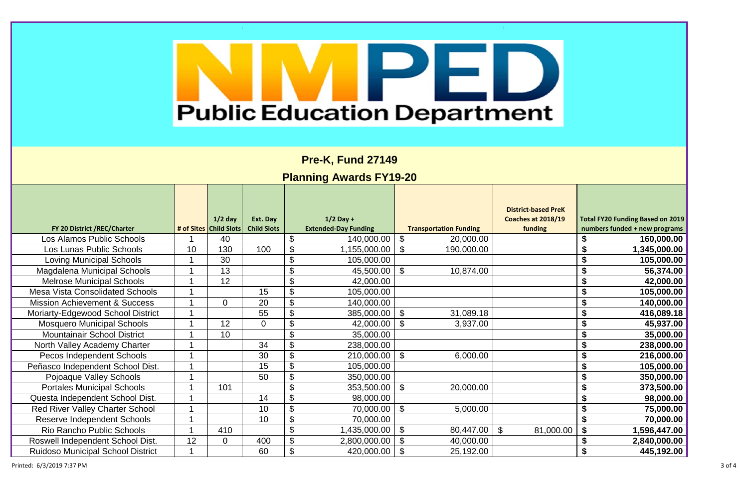-11

 $\sim 10^5$ 

| <b>Public Education Department</b>       |    |                                     |                                |    |                                            |                               |                                                             |                                                                          |  |  |
|------------------------------------------|----|-------------------------------------|--------------------------------|----|--------------------------------------------|-------------------------------|-------------------------------------------------------------|--------------------------------------------------------------------------|--|--|
|                                          |    |                                     |                                |    | <b>Pre-K, Fund 27149</b>                   |                               |                                                             |                                                                          |  |  |
|                                          |    |                                     |                                |    | <b>Planning Awards FY19-20</b>             |                               |                                                             |                                                                          |  |  |
| FY 20 District /REC/Charter              |    | $1/2$ day<br># of Sites Child Slots | Ext. Day<br><b>Child Slots</b> |    | $1/2$ Day +<br><b>Extended-Day Funding</b> | <b>Transportation Funding</b> | <b>District-based PreK</b><br>Coaches at 2018/19<br>funding | <b>Total FY20 Funding Based on 2019</b><br>numbers funded + new programs |  |  |
| Los Alamos Public Schools                |    | 40                                  |                                |    | 140,000.00                                 | $\mathfrak{F}$<br>20,000.00   |                                                             | 160,000.00                                                               |  |  |
| Los Lunas Public Schools                 | 10 | 130                                 | 100                            |    | 1,155,000.00                               | $\mathfrak{F}$<br>190,000.00  |                                                             | 1,345,000.00                                                             |  |  |
| <b>Loving Municipal Schools</b>          |    | 30                                  |                                |    | 105,000.00                                 |                               |                                                             | \$<br>105,000.00                                                         |  |  |
| <b>Magdalena Municipal Schools</b>       |    | 13                                  |                                | \$ | 45,500.00                                  | $\mathfrak{F}$<br>10,874.00   |                                                             | \$<br>56,374.00                                                          |  |  |
| <b>Melrose Municipal Schools</b>         |    | 12                                  |                                |    | 42,000.00                                  |                               |                                                             | \$<br>42,000.00                                                          |  |  |
| <b>Mesa Vista Consolidated Schools</b>   |    |                                     | 15                             |    | 105,000.00                                 |                               |                                                             | \$<br>105,000.00                                                         |  |  |
| <b>Mission Achievement &amp; Success</b> |    | $\Omega$                            | 20                             |    | 140,000.00                                 |                               |                                                             | \$<br>140,000.00                                                         |  |  |
| Moriarty-Edgewood School District        |    |                                     | 55                             |    | 385,000.00   \$                            | 31,089.18                     |                                                             | 416,089.18<br>\$                                                         |  |  |
| <b>Mosquero Municipal Schools</b>        |    | 12                                  | 0                              |    | 42,000.00                                  | $\mathfrak{L}$<br>3,937.00    |                                                             | 45,937.00                                                                |  |  |
| <b>Mountainair School District</b>       |    | 10                                  |                                |    | 35,000.00                                  |                               |                                                             | 35,000.00                                                                |  |  |
| North Valley Academy Charter             |    |                                     | 34                             |    | 238,000.00                                 |                               |                                                             | 238,000.00                                                               |  |  |
| Pecos Independent Schools                |    |                                     | 30                             |    | 210,000.00                                 | $\mathfrak{F}$<br>6,000.00    |                                                             | 216,000.00                                                               |  |  |
| Peñasco Independent School Dist.         |    |                                     | 15                             |    | 105,000.00                                 |                               |                                                             | 105,000.00                                                               |  |  |
| Pojoaque Valley Schools                  |    |                                     | 50                             |    | 350,000.00                                 |                               |                                                             | 350,000.00                                                               |  |  |
| <b>Portales Municipal Schools</b>        |    | 101                                 |                                |    | 353,500.00                                 | $\mathfrak{F}$<br>20,000.00   |                                                             | \$<br>373,500.00                                                         |  |  |
| Questa Independent School Dist.          |    |                                     | 14                             |    | 98,000.00                                  |                               |                                                             | \$<br>98,000.00                                                          |  |  |
| <b>Red River Valley Charter School</b>   |    |                                     | 10                             |    | 70,000.00                                  | $\mathfrak{F}$<br>5,000.00    |                                                             | \$<br>75,000.00                                                          |  |  |
| <b>Reserve Independent Schools</b>       |    |                                     | 10                             |    | 70,000.00                                  |                               |                                                             | \$<br>70,000.00                                                          |  |  |
| <b>Rio Rancho Public Schools</b>         |    | 410                                 |                                |    | 1,435,000.00                               | \$<br>80,447.00               | $\mathfrak{F}$<br>81,000.00                                 | \$<br>1,596,447.00                                                       |  |  |
| Roswell Independent School Dist.         | 12 | 0                                   | 400                            |    | 2,800,000.00                               | 40,000.00<br>\$               |                                                             | 2,840,000.00                                                             |  |  |
| <b>Ruidoso Municipal School District</b> |    |                                     | 60                             |    | 420,000.00                                 | $\mathfrak{F}$<br>25,192.00   |                                                             | \$<br>445,192.00                                                         |  |  |

Printed:  $6/3/2019$  7:37 PM 3 of 4